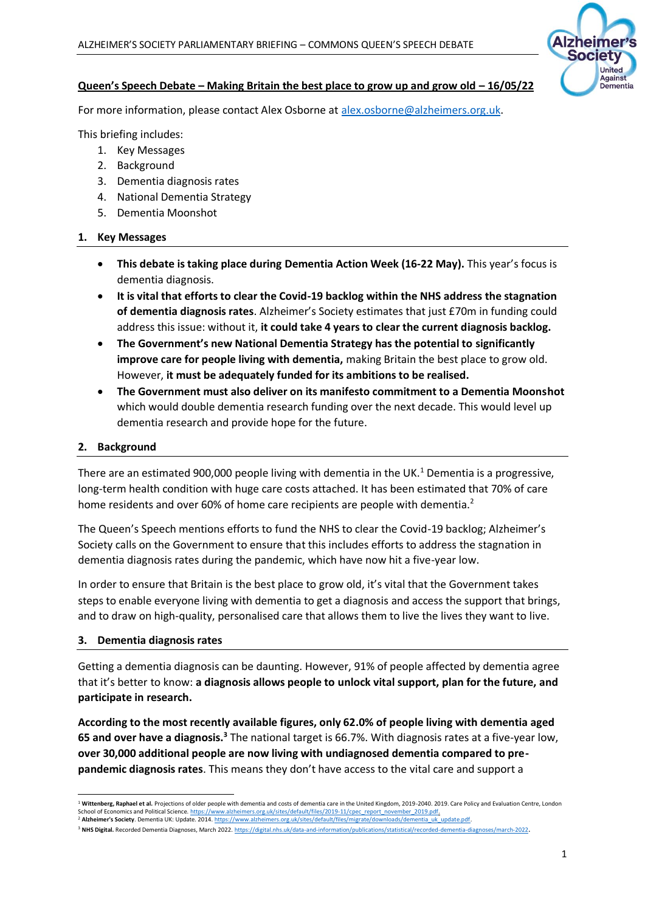

## **Queen's Speech Debate – Making Britain the best place to grow up and grow old – 16/05/22**

For more information, please contact Alex Osborne at [alex.osborne@alzheimers.org.uk.](mailto:alex.osborne@alzheimers.org.uk)

This briefing includes:

- 1. Key Messages
- 2. Background
- 3. Dementia diagnosis rates
- 4. National Dementia Strategy
- 5. Dementia Moonshot

### **1. Key Messages**

- **This debate is taking place during Dementia Action Week (16-22 May).** This year's focus is dementia diagnosis.
- **It is vital that efforts to clear the Covid-19 backlog within the NHS address the stagnation of dementia diagnosis rates**. Alzheimer's Society estimates that just £70m in funding could address this issue: without it, **it could take 4 years to clear the current diagnosis backlog.**
- **The Government's new National Dementia Strategy has the potential to significantly improve care for people living with dementia,** making Britain the best place to grow old. However, **it must be adequately funded for its ambitions to be realised.**
- **The Government must also deliver on its manifesto commitment to a Dementia Moonshot** which would double dementia research funding over the next decade. This would level up dementia research and provide hope for the future.

### **2. Background**

There are an estimated 900,000 people living with dementia in the UK.<sup>1</sup> Dementia is a progressive, long-term health condition with huge care costs attached. It has been estimated that 70% of care home residents and over 60% of home care recipients are people with dementia.<sup>2</sup>

The Queen's Speech mentions efforts to fund the NHS to clear the Covid-19 backlog; Alzheimer's Society calls on the Government to ensure that this includes efforts to address the stagnation in dementia diagnosis rates during the pandemic, which have now hit a five-year low.

In order to ensure that Britain is the best place to grow old, it's vital that the Government takes steps to enable everyone living with dementia to get a diagnosis and access the support that brings, and to draw on high-quality, personalised care that allows them to live the lives they want to live.

### **3. Dementia diagnosis rates**

Getting a dementia diagnosis can be daunting. However, 91% of people affected by dementia agree that it's better to know: **a diagnosis allows people to unlock vital support, plan for the future, and participate in research.** 

**According to the most recently available figures, only 62.0% of people living with dementia aged**  65 and over have a diagnosis.<sup>3</sup> The national target is 66.7%. With diagnosis rates at a five-year low, **over 30,000 additional people are now living with undiagnosed dementia compared to prepandemic diagnosis rates**. This means they don't have access to the vital care and support a

<sup>&</sup>lt;sup>1</sup> Wittenberg, Raphael et al. Projections of older people with dementia and costs of dementia care in the United Kingdom, 2019-2040, 2019. Care Policy and Evaluation Centre, London School of Economics and Political Science[. https://www.alzheimers.org.uk/sites/default/files/2019-11/cpec\\_report\\_november\\_2019.pdf.](https://www.alzheimers.org.uk/sites/default/files/2019-11/cpec_report_november_2019.pdf)

<sup>&</sup>lt;sup>2</sup> Alzheimer's Society. Dementia UK: Update. 201[4. https://www.alzheimers.org.uk/sites/default/files/migrate/downloads/dementia\\_uk\\_update.pdf.](https://www.alzheimers.org.uk/sites/default/files/migrate/downloads/dementia_uk_update.pdf)

<sup>&</sup>lt;sup>3</sup> NHS Digital. Recorded Dementia Diagnoses, March 2022[. https://digital.nhs.uk/data-and-information/publications/statistical/recorded-dementia-diagnoses/march-2022](https://digital.nhs.uk/data-and-information/publications/statistical/recorded-dementia-diagnoses/march-2022)